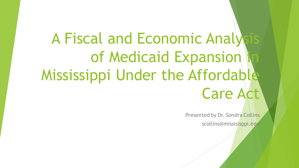# A Fiscal and Economic Analy of Medicaid Expansion Mississippi Under the Affordable Care Act

Presented by Dr. Sondra Collins

scollins@missisisppi.edu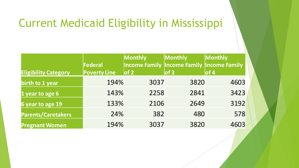# Current Medicaid Eligibility in Mississippi

| <b>Eligibility Category</b> | Federal<br><b>Poverty Line</b> | <b>Monthly</b><br><b>Income Family Income Family Income Family</b><br>$ $ of 2 | Monthly<br>of 3 | Monthly<br>of 4 |
|-----------------------------|--------------------------------|--------------------------------------------------------------------------------|-----------------|-----------------|
| birth to 1 year             | 194%                           | 3037                                                                           | 3820            | 4603            |
| 1 year to age 6             | 143%                           | 2258                                                                           | 2841            | 3423            |
| 6 year to age 19            | 133%                           | 2106                                                                           | 2649            | 3192            |
| <b>Parents/Caretakers</b>   | 24%                            | 382                                                                            | 480             | 578             |
| <b>Pregnant Women</b>       | 194%                           | 3037                                                                           | 3820            | 4603            |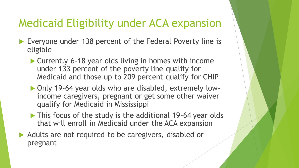# Medicaid Eligibility under ACA expansion

- ▶ Everyone under 138 percent of the Federal Poverty line is eligible
	- Currently 6-18 year olds living in homes with income under 133 percent of the poverty line qualify for Medicaid and those up to 209 percent qualify for CHIP
	- ▶ Only 19-64 year olds who are disabled, extremely lowincome caregivers, pregnant or get some other waiver qualify for Medicaid in Mississippi
	- This focus of the study is the additional 19-64 year olds that will enroll in Medicaid under the ACA expansion
- Adults are not required to be caregivers, disabled or pregnant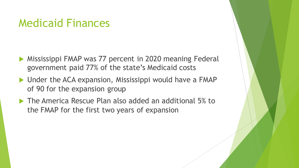#### Medicaid Finances

- Mississippi FMAP was 77 percent in 2020 meaning Federal government paid 77% of the state's Medicaid costs
- ▶ Under the ACA expansion, Mississippi would have a FMAP of 90 for the expansion group
- ▶ The America Rescue Plan also added an additional 5% to the FMAP for the first two years of expansion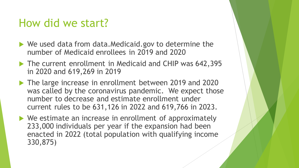#### How did we start?

- ▶ We used data from data.Medicaid.gov to determine the number of Medicaid enrollees in 2019 and 2020
- ▶ The current enrollment in Medicaid and CHIP was 642,395 in 2020 and 619,269 in 2019
- The large increase in enrollment between 2019 and 2020 was called by the coronavirus pandemic. We expect those number to decrease and estimate enrollment under current rules to be 631,126 in 2022 and 619,766 in 2023.
- ▶ We estimate an increase in enrollment of approximately 233,000 individuals per year if the expansion had been enacted in 2022 (total population with qualifying income 330,875)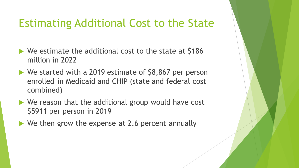# Estimating Additional Cost to the State

- ▶ We estimate the additional cost to the state at \$186 million in 2022
- ▶ We started with a 2019 estimate of \$8,867 per person enrolled in Medicaid and CHIP (state and federal cost combined)
- ▶ We reason that the additional group would have cost \$5911 per person in 2019
- ▶ We then grow the expense at 2.6 percent annually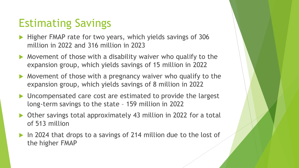# Estimating Savings

- Higher FMAP rate for two years, which yields savings of 306 million in 2022 and 316 million in 2023
- Movement of those with a disability waiver who qualify to the expansion group, which yields savings of 15 million in 2022
- Movement of those with a pregnancy waiver who qualify to the expansion group, which yields savings of 8 million in 2022
- ▶ Uncompensated care cost are estimated to provide the largest long-term savings to the state – 159 million in 2022
- ▶ Other savings total approximately 43 million in 2022 for a total of 513 million
- In 2024 that drops to a savings of 214 million due to the lost of the higher FMAP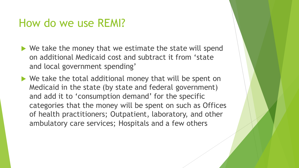#### How do we use REMI?

- $\blacktriangleright$  We take the money that we estimate the state will spend on additional Medicaid cost and subtract it from 'state and local government spending'
- ▶ We take the total additional money that will be spent on Medicaid in the state (by state and federal government) and add it to 'consumption demand' for the specific categories that the money will be spent on such as Offices of health practitioners; Outpatient, laboratory, and other ambulatory care services; Hospitals and a few others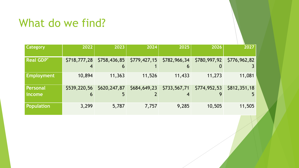### What do we find?

| <b>Category</b>      | 2022         | 2023         | 2024         | 2025              | 2026         | 2027         |
|----------------------|--------------|--------------|--------------|-------------------|--------------|--------------|
| <b>Real GDP*</b>     | \$718,777,28 | \$758,436,85 | \$779,427,15 | \$782,966,34<br>b | \$780,997,92 | \$776,962,82 |
| <b>Employment</b>    | 10,894       | 11,363       | 11,526       | 11,433            | 11,273       | 11,081       |
| Personal<br>  income | \$539,220,56 | \$620,247,87 | \$684,649,23 | \$733,567,71      | \$774,952,53 | \$812,351,18 |
| Population           | 3,299        | 5,787        | 7,757        | 9,285             | 10,505       | 11,505       |